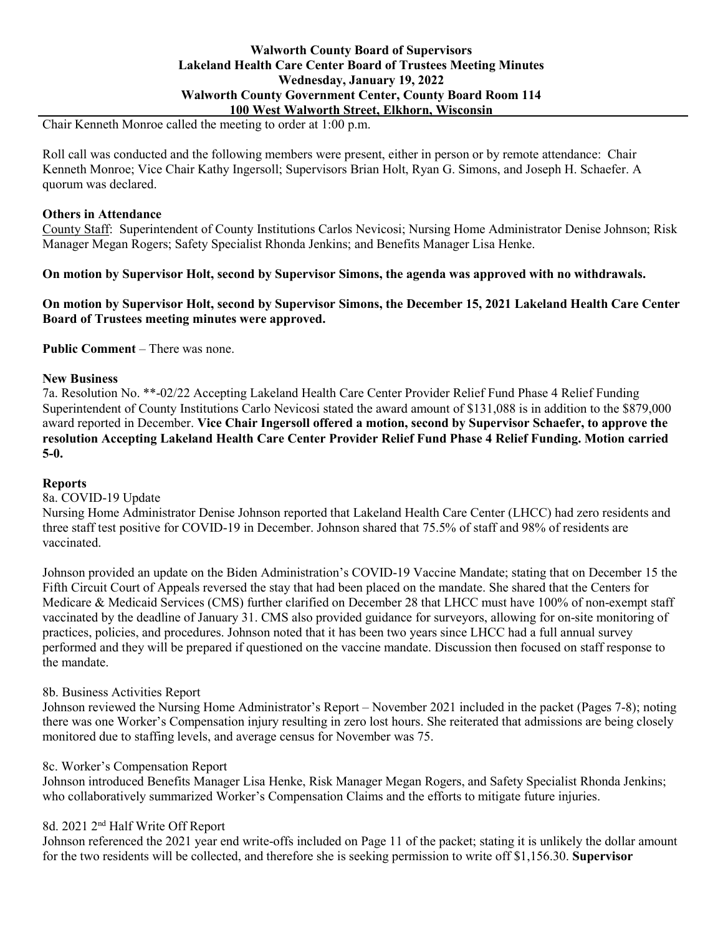# **Walworth County Board of Supervisors Lakeland Health Care Center Board of Trustees Meeting Minutes Wednesday, January 19, 2022 Walworth County Government Center, County Board Room 114 100 West Walworth Street, Elkhorn, Wisconsin**

Chair Kenneth Monroe called the meeting to order at 1:00 p.m.

Roll call was conducted and the following members were present, either in person or by remote attendance: Chair Kenneth Monroe; Vice Chair Kathy Ingersoll; Supervisors Brian Holt, Ryan G. Simons, and Joseph H. Schaefer. A quorum was declared.

# **Others in Attendance**

County Staff: Superintendent of County Institutions Carlos Nevicosi; Nursing Home Administrator Denise Johnson; Risk Manager Megan Rogers; Safety Specialist Rhonda Jenkins; and Benefits Manager Lisa Henke.

**On motion by Supervisor Holt, second by Supervisor Simons, the agenda was approved with no withdrawals.**

**On motion by Supervisor Holt, second by Supervisor Simons, the December 15, 2021 Lakeland Health Care Center Board of Trustees meeting minutes were approved.**

**Public Comment** – There was none.

### **New Business**

7a. Resolution No. \*\*-02/22 Accepting Lakeland Health Care Center Provider Relief Fund Phase 4 Relief Funding Superintendent of County Institutions Carlo Nevicosi stated the award amount of \$131,088 is in addition to the \$879,000 award reported in December. **Vice Chair Ingersoll offered a motion, second by Supervisor Schaefer, to approve the resolution Accepting Lakeland Health Care Center Provider Relief Fund Phase 4 Relief Funding. Motion carried 5-0.**

#### **Reports**

8a. COVID-19 Update

Nursing Home Administrator Denise Johnson reported that Lakeland Health Care Center (LHCC) had zero residents and three staff test positive for COVID-19 in December. Johnson shared that 75.5% of staff and 98% of residents are vaccinated.

Johnson provided an update on the Biden Administration's COVID-19 Vaccine Mandate; stating that on December 15 the Fifth Circuit Court of Appeals reversed the stay that had been placed on the mandate. She shared that the Centers for Medicare & Medicaid Services (CMS) further clarified on December 28 that LHCC must have 100% of non-exempt staff vaccinated by the deadline of January 31. CMS also provided guidance for surveyors, allowing for on-site monitoring of practices, policies, and procedures. Johnson noted that it has been two years since LHCC had a full annual survey performed and they will be prepared if questioned on the vaccine mandate. Discussion then focused on staff response to the mandate.

# 8b. Business Activities Report

Johnson reviewed the Nursing Home Administrator's Report – November 2021 included in the packet (Pages 7-8); noting there was one Worker's Compensation injury resulting in zero lost hours. She reiterated that admissions are being closely monitored due to staffing levels, and average census for November was 75.

#### 8c. Worker's Compensation Report

Johnson introduced Benefits Manager Lisa Henke, Risk Manager Megan Rogers, and Safety Specialist Rhonda Jenkins; who collaboratively summarized Worker's Compensation Claims and the efforts to mitigate future injuries.

# 8d. 2021 2nd Half Write Off Report

Johnson referenced the 2021 year end write-offs included on Page 11 of the packet; stating it is unlikely the dollar amount for the two residents will be collected, and therefore she is seeking permission to write off \$1,156.30. **Supervisor**